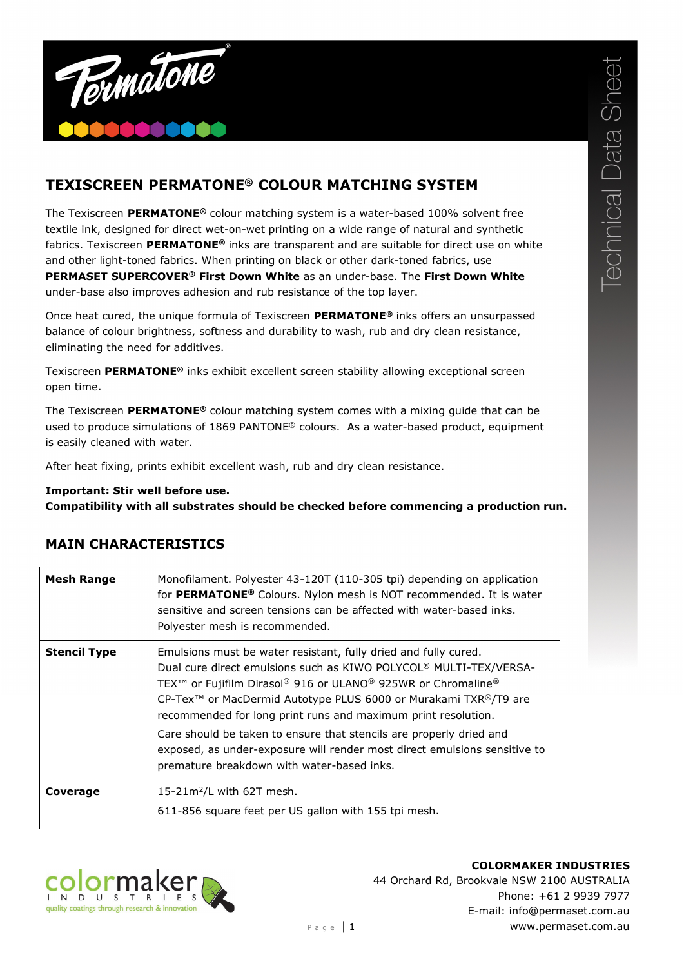

## **TEXISCREEN PERMATONE® COLOUR MATCHING SYSTEM**

The Texiscreen **PERMATONE®** colour matching system is a water-based 100% solvent free textile ink, designed for direct wet-on-wet printing on a wide range of natural and synthetic fabrics. Texiscreen **PERMATONE®** inks are transparent and are suitable for direct use on white and other light-toned fabrics. When printing on black or other dark-toned fabrics, use **PERMASET SUPERCOVER® First Down White** as an under-base. The **First Down White** under-base also improves adhesion and rub resistance of the top layer.

Once heat cured, the unique formula of Texiscreen **PERMATONE®** inks offers an unsurpassed balance of colour brightness, softness and durability to wash, rub and dry clean resistance, eliminating the need for additives.

Texiscreen **PERMATONE®** inks exhibit excellent screen stability allowing exceptional screen open time.

The Texiscreen **PERMATONE®** colour matching system comes with a mixing guide that can be used to produce simulations of 1869 PANTONE® colours. As a water-based product, equipment is easily cleaned with water.

After heat fixing, prints exhibit excellent wash, rub and dry clean resistance.

## **Important: Stir well before use.**

**Compatibility with all substrates should be checked before commencing a production run.**

| Mesh Range          | Monofilament. Polyester 43-120T (110-305 tpi) depending on application<br>for PERMATONE <sup>®</sup> Colours. Nylon mesh is NOT recommended. It is water<br>sensitive and screen tensions can be affected with water-based inks.<br>Polyester mesh is recommended.                                                                                                                        |
|---------------------|-------------------------------------------------------------------------------------------------------------------------------------------------------------------------------------------------------------------------------------------------------------------------------------------------------------------------------------------------------------------------------------------|
| <b>Stencil Type</b> | Emulsions must be water resistant, fully dried and fully cured.<br>Dual cure direct emulsions such as KIWO POLYCOL <sup>®</sup> MULTI-TEX/VERSA-<br>TEX <sup>™</sup> or Fujifilm Dirasol® 916 or ULANO® 925WR or Chromaline®<br>CP-Tex <sup>™</sup> or MacDermid Autotype PLUS 6000 or Murakami TXR <sup>®</sup> /T9 are<br>recommended for long print runs and maximum print resolution. |
|                     | Care should be taken to ensure that stencils are properly dried and<br>exposed, as under-exposure will render most direct emulsions sensitive to<br>premature breakdown with water-based inks.                                                                                                                                                                                            |
| Coverage            | 15-21 $m^2$ /L with 62T mesh.<br>611-856 square feet per US gallon with 155 tpi mesh.                                                                                                                                                                                                                                                                                                     |

## **MAIN CHARACTERISTICS**



**COLORMAKER INDUSTRIES** 44 Orchard Rd, Brookvale NSW 2100 AUSTRALIA Phone: +61 2 9939 7977 E-mail: info@permaset.com.au Page | 1 www.permaset.com.au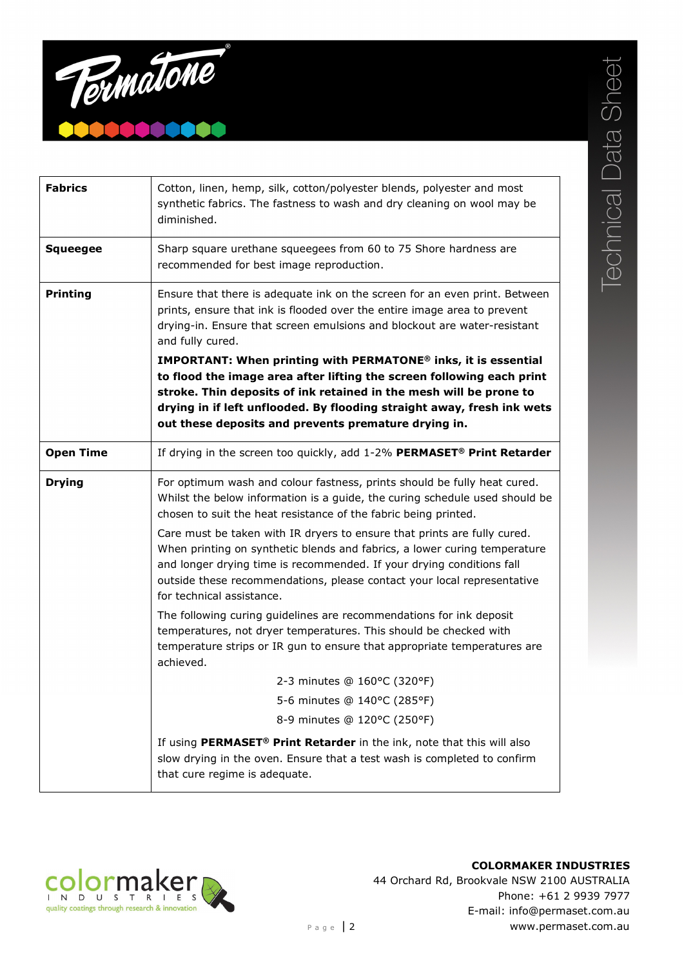

| <b>Fabrics</b>   | Cotton, linen, hemp, silk, cotton/polyester blends, polyester and most<br>synthetic fabrics. The fastness to wash and dry cleaning on wool may be<br>diminished.                                                                                                                                                                                                                                                                                                                                                                                                                                          |
|------------------|-----------------------------------------------------------------------------------------------------------------------------------------------------------------------------------------------------------------------------------------------------------------------------------------------------------------------------------------------------------------------------------------------------------------------------------------------------------------------------------------------------------------------------------------------------------------------------------------------------------|
| <b>Squeegee</b>  | Sharp square urethane squeegees from 60 to 75 Shore hardness are<br>recommended for best image reproduction.                                                                                                                                                                                                                                                                                                                                                                                                                                                                                              |
| <b>Printing</b>  | Ensure that there is adequate ink on the screen for an even print. Between<br>prints, ensure that ink is flooded over the entire image area to prevent<br>drying-in. Ensure that screen emulsions and blockout are water-resistant<br>and fully cured.<br>IMPORTANT: When printing with PERMATONE® inks, it is essential<br>to flood the image area after lifting the screen following each print<br>stroke. Thin deposits of ink retained in the mesh will be prone to<br>drying in if left unflooded. By flooding straight away, fresh ink wets<br>out these deposits and prevents premature drying in. |
| <b>Open Time</b> | If drying in the screen too quickly, add 1-2% PERMASET® Print Retarder                                                                                                                                                                                                                                                                                                                                                                                                                                                                                                                                    |
| <b>Drying</b>    | For optimum wash and colour fastness, prints should be fully heat cured.<br>Whilst the below information is a guide, the curing schedule used should be<br>chosen to suit the heat resistance of the fabric being printed.<br>Care must be taken with IR dryers to ensure that prints are fully cured.<br>When printing on synthetic blends and fabrics, a lower curing temperature<br>and longer drying time is recommended. If your drying conditions fall<br>outside these recommendations, please contact your local representative                                                                   |
|                  | for technical assistance.                                                                                                                                                                                                                                                                                                                                                                                                                                                                                                                                                                                 |
|                  | The following curing guidelines are recommendations for ink deposit<br>temperatures, not dryer temperatures. This should be checked with<br>temperature strips or IR gun to ensure that appropriate temperatures are<br>achieved.                                                                                                                                                                                                                                                                                                                                                                         |
|                  | 2-3 minutes @ 160°C (320°F)                                                                                                                                                                                                                                                                                                                                                                                                                                                                                                                                                                               |
|                  | 5-6 minutes @ 140°C (285°F)                                                                                                                                                                                                                                                                                                                                                                                                                                                                                                                                                                               |
|                  | 8-9 minutes @ 120°C (250°F)                                                                                                                                                                                                                                                                                                                                                                                                                                                                                                                                                                               |
|                  | If using PERMASET <sup>®</sup> Print Retarder in the ink, note that this will also<br>slow drying in the oven. Ensure that a test wash is completed to confirm<br>that cure regime is adequate.                                                                                                                                                                                                                                                                                                                                                                                                           |







**COLORMAKER INDUSTRIES** 44 Orchard Rd, Brookvale NSW 2100 AUSTRALIA Phone: +61 2 9939 7977 E-mail: info@permaset.com.au Page 2 Www.permaset.com.au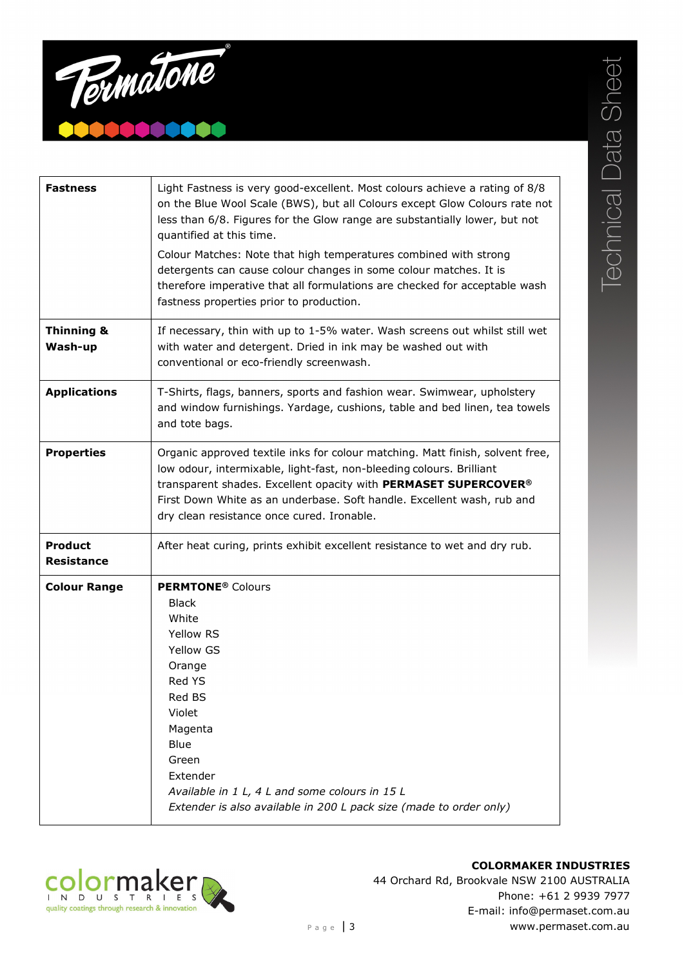

| Light Fastness is very good-excellent. Most colours achieve a rating of 8/8<br>on the Blue Wool Scale (BWS), but all Colours except Glow Colours rate not<br>less than 6/8. Figures for the Glow range are substantially lower, but not<br>quantified at this time.<br>Colour Matches: Note that high temperatures combined with strong<br>detergents can cause colour changes in some colour matches. It is<br>therefore imperative that all formulations are checked for acceptable wash |
|--------------------------------------------------------------------------------------------------------------------------------------------------------------------------------------------------------------------------------------------------------------------------------------------------------------------------------------------------------------------------------------------------------------------------------------------------------------------------------------------|
| fastness properties prior to production.                                                                                                                                                                                                                                                                                                                                                                                                                                                   |
| If necessary, thin with up to 1-5% water. Wash screens out whilst still wet<br>with water and detergent. Dried in ink may be washed out with<br>conventional or eco-friendly screenwash.                                                                                                                                                                                                                                                                                                   |
| T-Shirts, flags, banners, sports and fashion wear. Swimwear, upholstery<br>and window furnishings. Yardage, cushions, table and bed linen, tea towels<br>and tote bags.                                                                                                                                                                                                                                                                                                                    |
| Organic approved textile inks for colour matching. Matt finish, solvent free,<br>low odour, intermixable, light-fast, non-bleeding colours. Brilliant<br>transparent shades. Excellent opacity with PERMASET SUPERCOVER <sup>®</sup><br>First Down White as an underbase. Soft handle. Excellent wash, rub and<br>dry clean resistance once cured. Ironable.                                                                                                                               |
| After heat curing, prints exhibit excellent resistance to wet and dry rub.                                                                                                                                                                                                                                                                                                                                                                                                                 |
| <b>PERMTONE<sup>®</sup></b> Colours<br><b>Black</b><br>White<br>Yellow RS<br>Yellow GS<br>Orange<br>Red YS<br>Red BS<br>Violet<br>Magenta<br>Blue<br>Green<br>Extender<br>Available in 1 L, 4 L and some colours in 15 L<br>Extender is also available in 200 L pack size (made to order only)                                                                                                                                                                                             |
|                                                                                                                                                                                                                                                                                                                                                                                                                                                                                            |





**COLORMAKER INDUSTRIES** 44 Orchard Rd, Brookvale NSW 2100 AUSTRALIA Phone: +61 2 9939 7977 E-mail: info@permaset.com.au Page | 3 WWW.permaset.com.au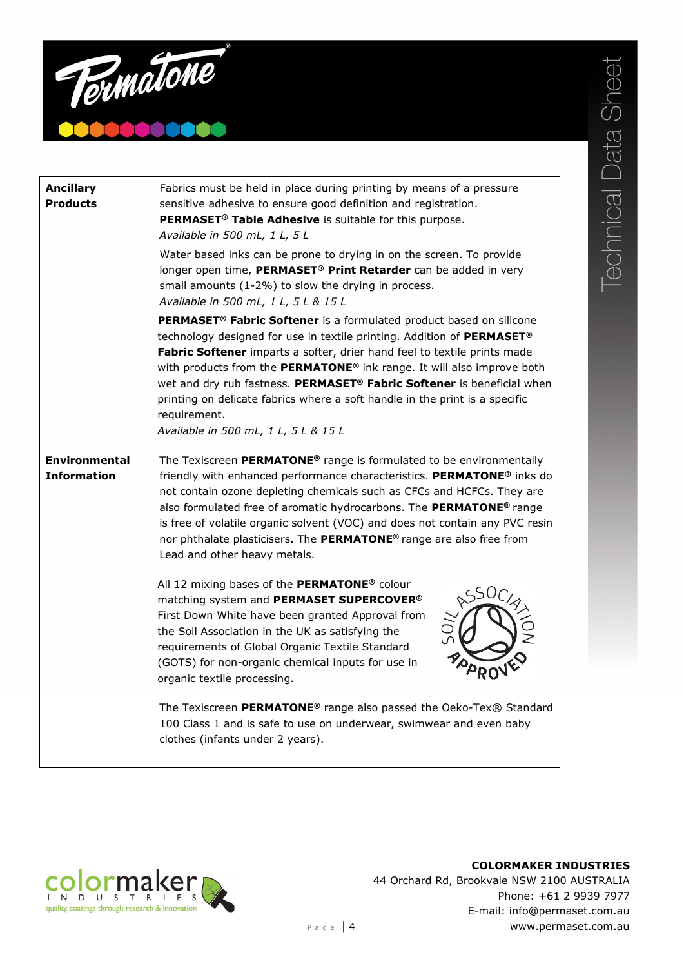

| <b>Ancillary</b><br><b>Products</b>        | Fabrics must be held in place during printing by means of a pressure<br>sensitive adhesive to ensure good definition and registration.<br>PERMASET <sup>®</sup> Table Adhesive is suitable for this purpose.<br>Available in 500 mL, 1 L, 5 L<br>Water based inks can be prone to drying in on the screen. To provide<br>longer open time, PERMASET® Print Retarder can be added in very<br>small amounts (1-2%) to slow the drying in process.<br>Available in 500 mL, 1 L, 5 L & 15 L                                                                  |
|--------------------------------------------|----------------------------------------------------------------------------------------------------------------------------------------------------------------------------------------------------------------------------------------------------------------------------------------------------------------------------------------------------------------------------------------------------------------------------------------------------------------------------------------------------------------------------------------------------------|
|                                            | PERMASET <sup>®</sup> Fabric Softener is a formulated product based on silicone<br>technology designed for use in textile printing. Addition of PERMASET®<br>Fabric Softener imparts a softer, drier hand feel to textile prints made<br>with products from the PERMATONE <sup>®</sup> ink range. It will also improve both<br>wet and dry rub fastness. PERMASET <sup>®</sup> Fabric Softener is beneficial when<br>printing on delicate fabrics where a soft handle in the print is a specific<br>requirement.<br>Available in 500 mL, 1 L, 5 L & 15 L |
| <b>Environmental</b><br><b>Information</b> | The Texiscreen PERMATONE <sup>®</sup> range is formulated to be environmentally<br>friendly with enhanced performance characteristics. PERMATONE® inks do<br>not contain ozone depleting chemicals such as CFCs and HCFCs. They are<br>also formulated free of aromatic hydrocarbons. The PERMATONE <sup>®</sup> range<br>is free of volatile organic solvent (VOC) and does not contain any PVC resin<br>nor phthalate plasticisers. The PERMATONE® range are also free from<br>Lead and other heavy metals.                                            |
|                                            | All 12 mixing bases of the PERMATONE® colour<br><b>SSOCIA</b><br>matching system and PERMASET SUPERCOVER®<br>First Down White have been granted Approval from<br>the Soil Association in the UK as satisfying the<br>requirements of Global Organic Textile Standard<br>(GOTS) for non-organic chemical inputs for use in<br>organic textile processing.                                                                                                                                                                                                 |
|                                            | The Texiscreen PERMATONE <sup>®</sup> range also passed the Oeko-Tex® Standard<br>100 Class 1 and is safe to use on underwear, swimwear and even baby<br>clothes (infants under 2 years).                                                                                                                                                                                                                                                                                                                                                                |



**COLORMAKER INDUSTRIES** 44 Orchard Rd, Brookvale NSW 2100 AUSTRALIA Phone: +61 2 9939 7977 E-mail: info@permaset.com.au Page | 4 WWW.permaset.com.au